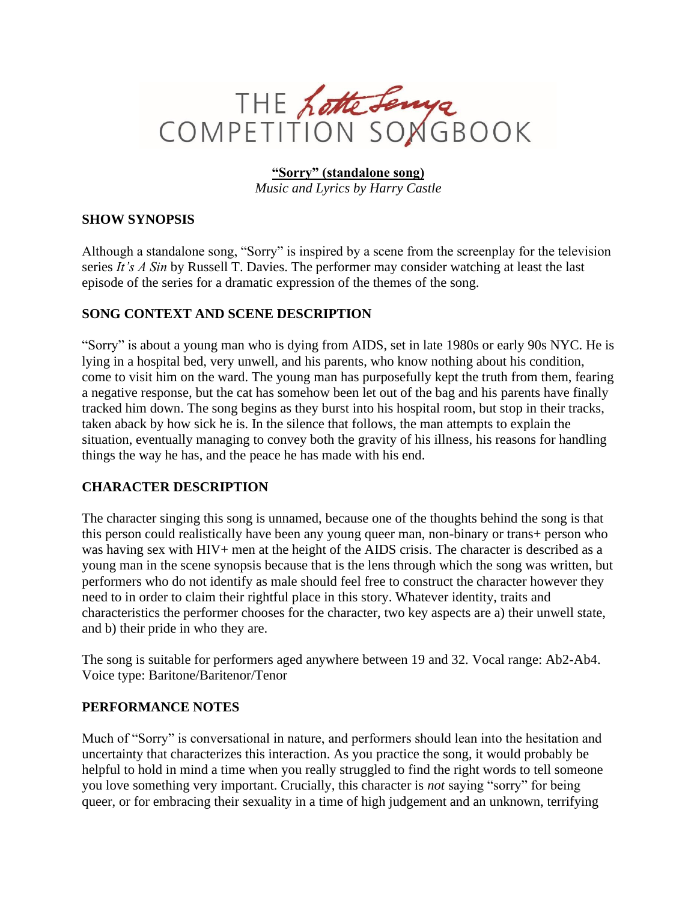

**"Sorry" (standalone song)** *Music and Lyrics by Harry Castle*

## **SHOW SYNOPSIS**

Although a standalone song, "Sorry" is inspired by a scene from the screenplay for the television series *It's A Sin* by Russell T. Davies. The performer may consider watching at least the last episode of the series for a dramatic expression of the themes of the song.

## **SONG CONTEXT AND SCENE DESCRIPTION**

"Sorry" is about a young man who is dying from AIDS, set in late 1980s or early 90s NYC. He is lying in a hospital bed, very unwell, and his parents, who know nothing about his condition, come to visit him on the ward. The young man has purposefully kept the truth from them, fearing a negative response, but the cat has somehow been let out of the bag and his parents have finally tracked him down. The song begins as they burst into his hospital room, but stop in their tracks, taken aback by how sick he is. In the silence that follows, the man attempts to explain the situation, eventually managing to convey both the gravity of his illness, his reasons for handling things the way he has, and the peace he has made with his end.

## **CHARACTER DESCRIPTION**

The character singing this song is unnamed, because one of the thoughts behind the song is that this person could realistically have been any young queer man, non-binary or trans+ person who was having sex with HIV+ men at the height of the AIDS crisis. The character is described as a young man in the scene synopsis because that is the lens through which the song was written, but performers who do not identify as male should feel free to construct the character however they need to in order to claim their rightful place in this story. Whatever identity, traits and characteristics the performer chooses for the character, two key aspects are a) their unwell state, and b) their pride in who they are.

The song is suitable for performers aged anywhere between 19 and 32. Vocal range: Ab2-Ab4. Voice type: Baritone/Baritenor/Tenor

## **PERFORMANCE NOTES**

Much of "Sorry" is conversational in nature, and performers should lean into the hesitation and uncertainty that characterizes this interaction. As you practice the song, it would probably be helpful to hold in mind a time when you really struggled to find the right words to tell someone you love something very important. Crucially, this character is *not* saying "sorry" for being queer, or for embracing their sexuality in a time of high judgement and an unknown, terrifying